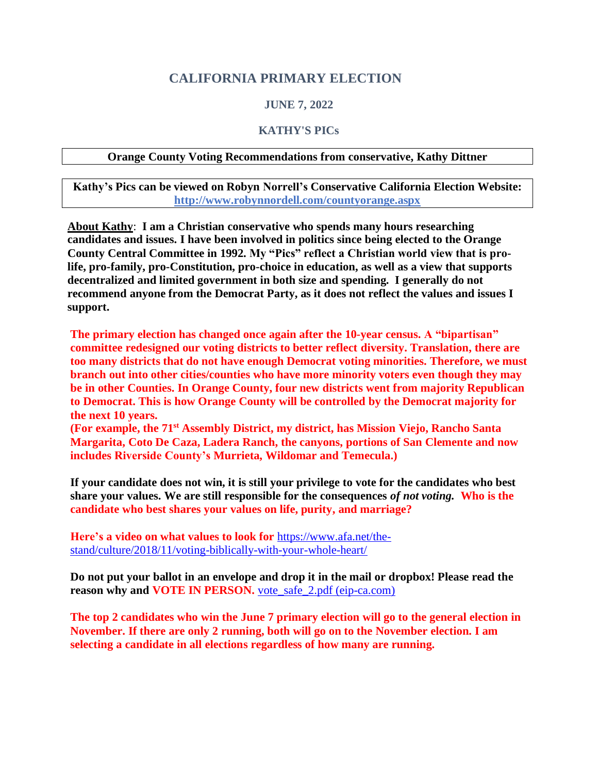### **CALIFORNIA PRIMARY ELECTION**

#### **JUNE 7, 2022**

#### **KATHY'S PICs**

#### **Orange County Voting Recommendations from conservative, Kathy Dittner**

**Kathy's Pics can be viewed on Robyn Norrell's Conservative California Election Website: <http://www.robynnordell.com/countyorange.aspx>**

**About Kathy**: **I am a Christian conservative who spends many hours researching candidates and issues. I have been involved in politics since being elected to the Orange County Central Committee in 1992. My "Pics" reflect a Christian world view that is prolife, pro-family, pro-Constitution, pro-choice in education, as well as a view that supports decentralized and limited government in both size and spending. I generally do not recommend anyone from the Democrat Party, as it does not reflect the values and issues I support.**

**The primary election has changed once again after the 10-year census. A "bipartisan" committee redesigned our voting districts to better reflect diversity. Translation, there are too many districts that do not have enough Democrat voting minorities. Therefore, we must branch out into other cities/counties who have more minority voters even though they may be in other Counties. In Orange County, four new districts went from majority Republican to Democrat. This is how Orange County will be controlled by the Democrat majority for the next 10 years.**

**(For example, the 71st Assembly District, my district, has Mission Viejo, Rancho Santa Margarita, Coto De Caza, Ladera Ranch, the canyons, portions of San Clemente and now includes Riverside County's Murrieta, Wildomar and Temecula.)**

**If your candidate does not win, it is still your privilege to vote for the candidates who best share your values. We are still responsible for the consequences** *of not voting.* **Who is the candidate who best shares your values on life, purity, and marriage?**

**Here's a video on what values to look for** [https://www.afa.net/the](https://www.afa.net/the-stand/culture/2018/11/voting-biblically-with-your-whole-heart/)[stand/culture/2018/11/voting-biblically-with-your-whole-heart/](https://www.afa.net/the-stand/culture/2018/11/voting-biblically-with-your-whole-heart/)

**Do not put your ballot in an envelope and drop it in the mail or dropbox! Please read the reason why and VOTE IN PERSON.** [vote\\_safe\\_2.pdf \(eip-ca.com\)](https://www.eip-ca.com/articles/vote_safe_2.pdf)

**The top 2 candidates who win the June 7 primary election will go to the general election in November. If there are only 2 running, both will go on to the November election. I am selecting a candidate in all elections regardless of how many are running.**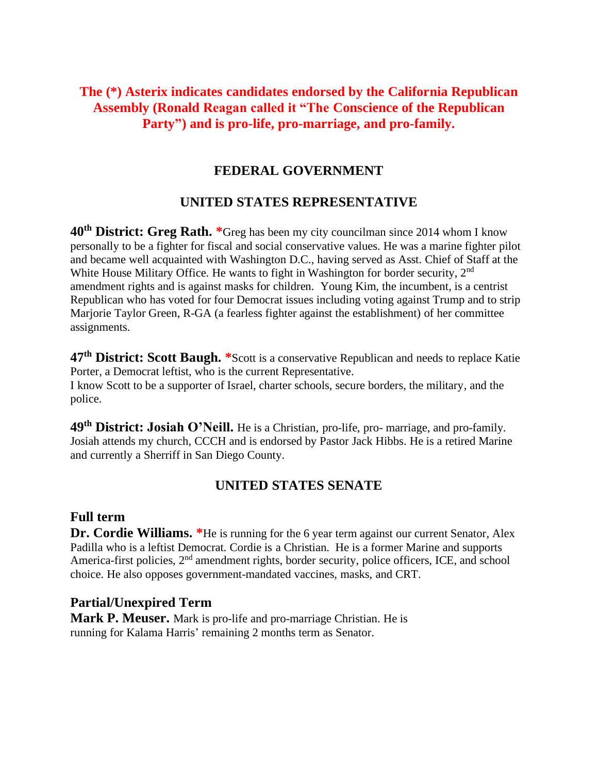# **The (\*) Asterix indicates candidates endorsed by the California Republican Assembly (Ronald Reagan called it "The Conscience of the Republican Party") and is pro-life, pro-marriage, and pro-family.**

## **FEDERAL GOVERNMENT**

# **UNITED STATES REPRESENTATIVE**

**40th District: Greg Rath. \***Greg has been my city councilman since 2014 whom I know personally to be a fighter for fiscal and social conservative values. He was a marine fighter pilot and became well acquainted with Washington D.C., having served as Asst. Chief of Staff at the White House Military Office. He wants to fight in Washington for border security, 2<sup>nd</sup> amendment rights and is against masks for children. Young Kim, the incumbent, is a centrist Republican who has voted for four Democrat issues including voting against Trump and to strip Marjorie Taylor Green, R-GA (a fearless fighter against the establishment) of her committee assignments.

**47th District: Scott Baugh. \***Scott is a conservative Republican and needs to replace Katie Porter, a Democrat leftist, who is the current Representative. I know Scott to be a supporter of Israel, charter schools, secure borders, the military, and the police.

**49th District: Josiah O'Neill.** He is a Christian, pro-life, pro- marriage, and pro-family. Josiah attends my church, CCCH and is endorsed by Pastor Jack Hibbs. He is a retired Marine and currently a Sherriff in San Diego County.

## **UNITED STATES SENATE**

### **Full term**

**Dr. Cordie Williams.** \*He is running for the 6 year term against our current Senator, Alex Padilla who is a leftist Democrat. Cordie is a Christian. He is a former Marine and supports America-first policies, 2<sup>nd</sup> amendment rights, border security, police officers, ICE, and school choice. He also opposes government-mandated vaccines, masks, and CRT.

### **Partial/Unexpired Term**

**Mark P. Meuser.** Mark is pro-life and pro-marriage Christian. He is running for Kalama Harris' remaining 2 months term as Senator.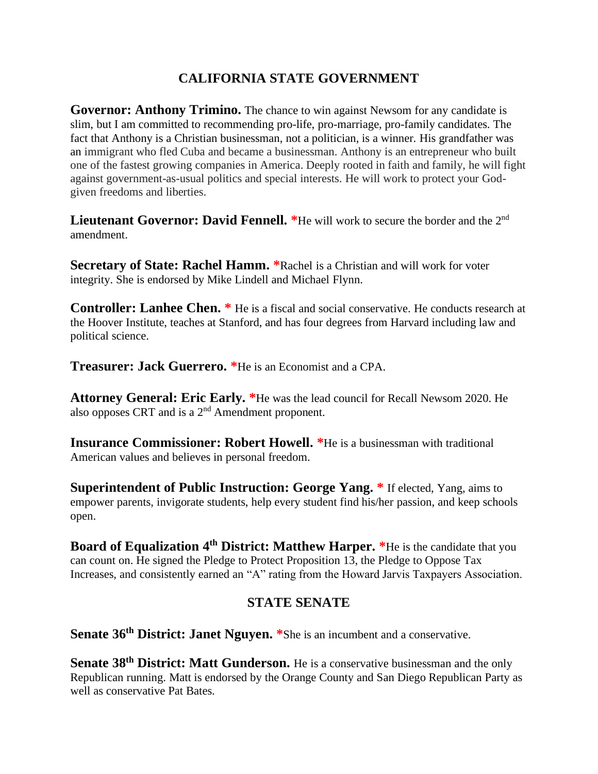# **CALIFORNIA STATE GOVERNMENT**

**Governor: Anthony Trimino.** The chance to win against Newsom for any candidate is slim, but I am committed to recommending pro-life, pro-marriage, pro-family candidates. The fact that Anthony is a Christian businessman, not a politician, is a winner. His grandfather was an immigrant who fled Cuba and became a businessman. Anthony is an entrepreneur who built one of the fastest growing companies in America. Deeply rooted in faith and family, he will fight against government-as-usual politics and special interests. He will work to protect your Godgiven freedoms and liberties.

**Lieutenant Governor: David Fennell.** \*He will work to secure the border and the 2<sup>nd</sup> amendment.

**Secretary of State: Rachel Hamm. \***Rachel is a Christian and will work for voter integrity. She is endorsed by Mike Lindell and Michael Flynn.

**Controller: Lanhee Chen. \*** He is a fiscal and social conservative. He conducts research at the Hoover Institute, teaches at Stanford, and has four degrees from Harvard including law and political science.

**Treasurer: Jack Guerrero. \***He is an Economist and a CPA.

**Attorney General: Eric Early. \***He was the lead council for Recall Newsom 2020. He also opposes CRT and is a  $2<sup>nd</sup>$  Amendment proponent.

**Insurance Commissioner: Robert Howell. \***He is a businessman with traditional American values and believes in personal freedom.

**Superintendent of Public Instruction: George Yang. \*** If elected, Yang, aims to empower parents, invigorate students, help every student find his/her passion, and keep schools open.

**Board of Equalization 4<sup>th</sup> District: Matthew Harper.** \*He is the candidate that you can count on. He signed the Pledge to Protect Proposition 13, the Pledge to Oppose Tax Increases, and consistently earned an "A" rating from the Howard Jarvis Taxpayers Association.

## **STATE SENATE**

**Senate 36th District: Janet Nguyen. \***She is an incumbent and a conservative.

**Senate 38th District: Matt Gunderson.** He is a conservative businessman and the only Republican running. Matt is endorsed by the Orange County and San Diego Republican Party as well as conservative Pat Bates.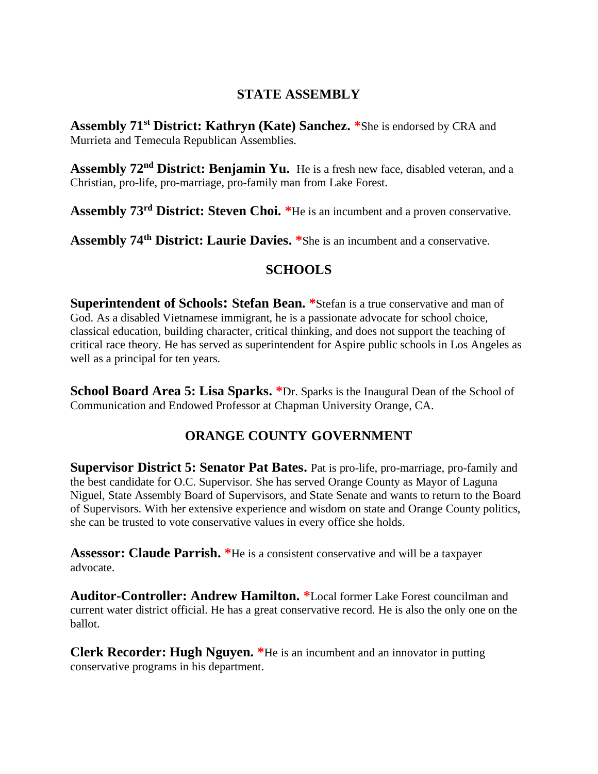## **STATE ASSEMBLY**

**Assembly 71st District: Kathryn (Kate) Sanchez. \***She is endorsed by CRA and Murrieta and Temecula Republican Assemblies.

**Assembly 72nd District: Benjamin Yu.** He is a fresh new face, disabled veteran, and a Christian, pro-life, pro-marriage, pro-family man from Lake Forest.

**Assembly 73rd District: Steven Choi. \***He is an incumbent and a proven conservative.

**Assembly 74th District: Laurie Davies. \***She is an incumbent and a conservative.

## **SCHOOLS**

**Superintendent of Schools: Stefan Bean. \***Stefan is a true conservative and man of God. As a disabled Vietnamese immigrant, he is a passionate advocate for school choice, classical education, building character, critical thinking, and does not support the teaching of critical race theory. He has served as superintendent for Aspire public schools in Los Angeles as well as a principal for ten years.

**School Board Area 5: Lisa Sparks. \***Dr. Sparks is the Inaugural Dean of the School of Communication and Endowed Professor at Chapman University Orange, CA.

# **ORANGE COUNTY GOVERNMENT**

**Supervisor District 5: Senator Pat Bates.** Pat is pro-life, pro-marriage, pro-family and the best candidate for O.C. Supervisor. She has served Orange County as Mayor of Laguna Niguel, State Assembly Board of Supervisors, and State Senate and wants to return to the Board of Supervisors. With her extensive experience and wisdom on state and Orange County politics, she can be trusted to vote conservative values in every office she holds.

**Assessor: Claude Parrish. \***He is a consistent conservative and will be a taxpayer advocate.

**Auditor-Controller: Andrew Hamilton. \***Local former Lake Forest councilman and current water district official. He has a great conservative record. He is also the only one on the ballot.

**Clerk Recorder: Hugh Nguyen. \***He is an incumbent and an innovator in putting conservative programs in his department.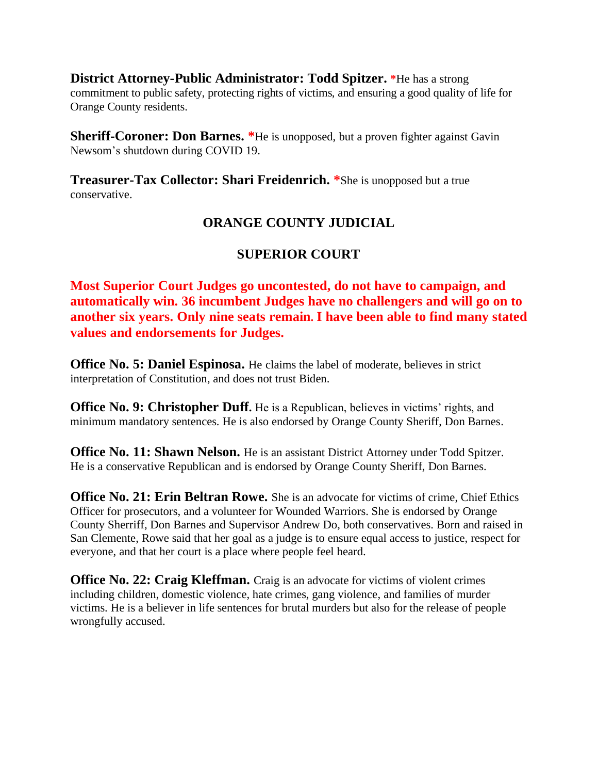**District Attorney-Public Administrator: Todd Spitzer. \***He has a strong commitment to public safety, protecting rights of victims, and ensuring a good quality of life for Orange County residents.

**Sheriff-Coroner: Don Barnes.** \*He is unopposed, but a proven fighter against Gavin Newsom's shutdown during COVID 19.

**Treasurer-Tax Collector: Shari Freidenrich. \***She is unopposed but a true conservative.

# **ORANGE COUNTY JUDICIAL**

# **SUPERIOR COURT**

**Most Superior Court Judges go uncontested, do not have to campaign, and automatically win. 36 incumbent Judges have no challengers and will go on to another six years. Only nine seats remain. I have been able to find many stated values and endorsements for Judges.**

**Office No. 5: Daniel Espinosa.** He claims the label of moderate, believes in strict interpretation of Constitution, and does not trust Biden.

**Office No. 9: Christopher Duff.** He is a Republican, believes in victims' rights, and minimum mandatory sentences. He is also endorsed by Orange County Sheriff, Don Barnes.

**Office No. 11: Shawn Nelson.** He is an assistant District Attorney under Todd Spitzer. He is a conservative Republican and is endorsed by Orange County Sheriff, Don Barnes.

**Office No. 21: Erin Beltran Rowe.** She is an advocate for victims of crime, Chief Ethics Officer for prosecutors, and a volunteer for Wounded Warriors. She is endorsed by Orange County Sherriff, Don Barnes and Supervisor Andrew Do, both conservatives. Born and raised in San Clemente, Rowe said that her goal as a judge is to ensure equal access to justice, respect for everyone, and that her court is a place where people feel heard.

**Office No. 22: Craig Kleffman.** Craig is an advocate for victims of violent crimes including children, domestic violence, hate crimes, gang violence, and families of murder victims. He is a believer in life sentences for brutal murders but also for the release of people wrongfully accused.